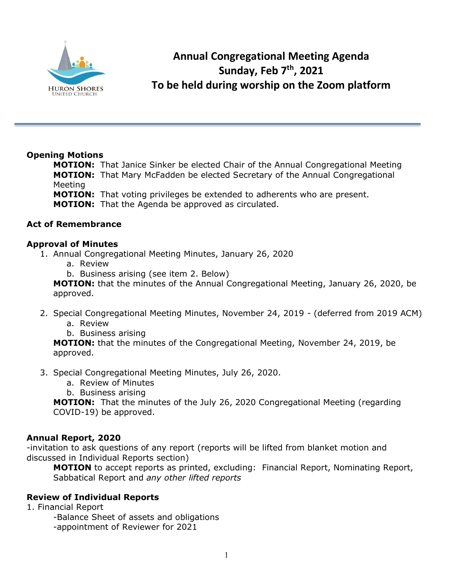

# **Annual Congregational Meeting Agenda Sunday, Feb 7th, 2021 To be held during worship on the Zoom platform**

## **Opening Motions**

**MOTION:** That Janice Sinker be elected Chair of the Annual Congregational Meeting **MOTION:** That Mary McFadden be elected Secretary of the Annual Congregational Meeting

**MOTION:** That voting privileges be extended to adherents who are present. **MOTION:** That the Agenda be approved as circulated.

## **Act of Remembrance**

## **Approval of Minutes**

- 1. Annual Congregational Meeting Minutes, January 26, 2020
	- a. Review
	- b. Business arising (see item 2. Below)

**MOTION:** that the minutes of the Annual Congregational Meeting, January 26, 2020, be approved.

- 2. Special Congregational Meeting Minutes, November 24, 2019 (deferred from 2019 ACM)
	- a. Review
	- b. Business arising

**MOTION:** that the minutes of the Congregational Meeting, November 24, 2019, be approved.

#### 3. Special Congregational Meeting Minutes, July 26, 2020.

- a. Review of Minutes
- b. Business arising

**MOTION:** That the minutes of the July 26, 2020 Congregational Meeting (regarding COVID-19) be approved.

#### **Annual Report, 2020**

-invitation to ask questions of any report (reports will be lifted from blanket motion and discussed in Individual Reports section)

**MOTION** to accept reports as printed, excluding: Financial Report, Nominating Report, Sabbatical Report and *any other lifted reports*

# **Review of Individual Reports**

1. Financial Report

-Balance Sheet of assets and obligations

-appointment of Reviewer for 2021